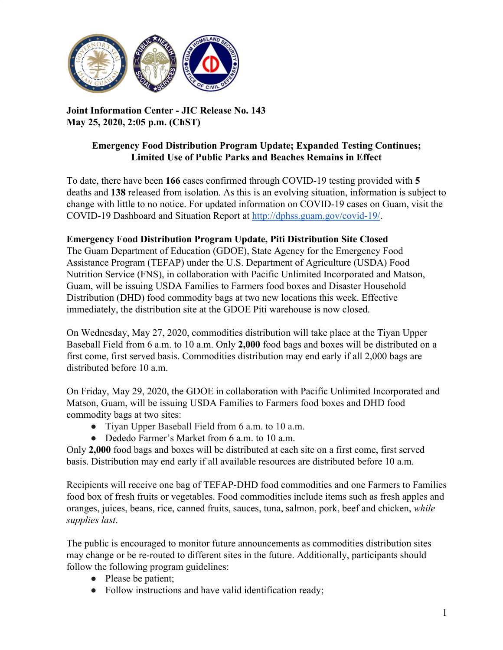

**Joint Information Center - JIC Release No. 143 May 25, 2020, 2:05 p.m. (ChST)**

## **Emergency Food Distribution Program Update; Expanded Testing Continues; Limited Use of Public Parks and Beaches Remains in Effect**

To date, there have been **166** cases confirmed through COVID-19 testing provided with **5** deaths and **138** released from isolation. As this is an evolving situation, information is subject to change with little to no notice. For updated information on COVID-19 cases on Guam, visit the COVID-19 Dashboard and Situation Report at [http://dphss.guam.gov/covid-19/.](http://dphss.guam.gov/covid-19/)

## **Emergency Food Distribution Program Update, Piti Distribution Site Closed**

The Guam Department of Education (GDOE), State Agency for the Emergency Food Assistance Program (TEFAP) under the U.S. Department of Agriculture (USDA) Food Nutrition Service (FNS), in collaboration with Pacific Unlimited Incorporated and Matson, Guam, will be issuing USDA Families to Farmers food boxes and Disaster Household Distribution (DHD) food commodity bags at two new locations this week. Effective immediately, the distribution site at the GDOE Piti warehouse is now closed.

On Wednesday, May 27, 2020, commodities distribution will take place at the Tiyan Upper Baseball Field from 6 a.m. to 10 a.m. Only **2,000** food bags and boxes will be distributed on a first come, first served basis. Commodities distribution may end early if all 2,000 bags are distributed before 10 a.m.

On Friday, May 29, 2020, the GDOE in collaboration with Pacific Unlimited Incorporated and Matson, Guam, will be issuing USDA Families to Farmers food boxes and DHD food commodity bags at two sites:

- Tiyan Upper Baseball Field from 6 a.m. to 10 a.m.
- Dededo Farmer's Market from 6 a.m. to 10 a.m.

Only **2,000** food bags and boxes will be distributed at each site on a first come, first served basis. Distribution may end early if all available resources are distributed before 10 a.m.

Recipients will receive one bag of TEFAP-DHD food commodities and one Farmers to Families food box of fresh fruits or vegetables. Food commodities include items such as fresh apples and oranges, juices, beans, rice, canned fruits, sauces, tuna, salmon, pork, beef and chicken, *while supplies last*.

The public is encouraged to monitor future announcements as commodities distribution sites may change or be re-routed to different sites in the future. Additionally, participants should follow the following program guidelines:

- Please be patient;
- Follow instructions and have valid identification ready;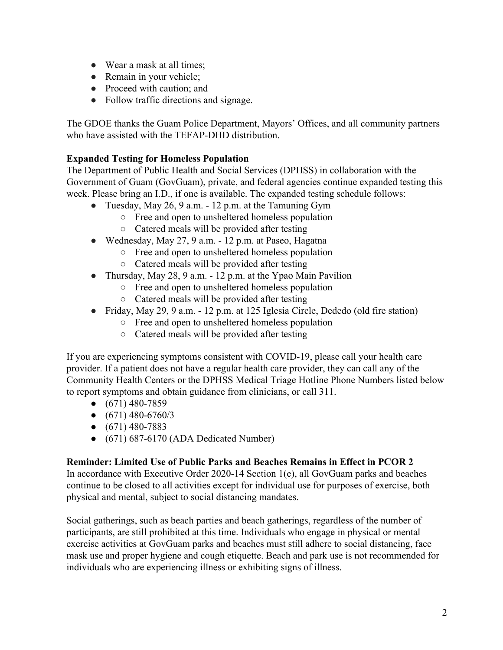- Wear a mask at all times;
- Remain in your vehicle;
- Proceed with caution: and
- Follow traffic directions and signage.

The GDOE thanks the Guam Police Department, Mayors' Offices, and all community partners who have assisted with the TEFAP-DHD distribution.

## **Expanded Testing for Homeless Population**

The Department of Public Health and Social Services (DPHSS) in collaboration with the Government of Guam (GovGuam), private, and federal agencies continue expanded testing this week. Please bring an I.D., if one is available. The expanded testing schedule follows:

- Tuesday, May 26, 9 a.m. 12 p.m. at the Tamuning Gym
	- Free and open to unsheltered homeless population
	- Catered meals will be provided after testing
- Wednesday, May 27, 9 a.m.  $-12$  p.m. at Paseo, Hagatna
	- Free and open to unsheltered homeless population
		- Catered meals will be provided after testing
- Thursday, May 28, 9 a.m. 12 p.m. at the Ypao Main Pavilion
	- Free and open to unsheltered homeless population
	- Catered meals will be provided after testing
- Friday, May 29, 9 a.m. 12 p.m. at 125 Iglesia Circle, Dededo (old fire station)
	- Free and open to unsheltered homeless population
	- Catered meals will be provided after testing

If you are experiencing symptoms consistent with COVID-19, please call your health care provider. If a patient does not have a regular health care provider, they can call any of the Community Health Centers or the DPHSS Medical Triage Hotline Phone Numbers listed below to report symptoms and obtain guidance from clinicians, or call 311.

- $\bullet$  (671) 480-7859
- $\bullet$  (671) 480-6760/3
- $\bullet$  (671) 480-7883
- $\bullet$  (671) 687-6170 (ADA Dedicated Number)

## **Reminder: Limited Use of Public Parks and Beaches Remains in Effect in PCOR 2**

In accordance with Executive Order 2020-14 Section 1(e), all GovGuam parks and beaches continue to be closed to all activities except for individual use for purposes of exercise, both physical and mental, subject to social distancing mandates.

Social gatherings, such as beach parties and beach gatherings, regardless of the number of participants, are still prohibited at this time. Individuals who engage in physical or mental exercise activities at GovGuam parks and beaches must still adhere to social distancing, face mask use and proper hygiene and cough etiquette. Beach and park use is not recommended for individuals who are experiencing illness or exhibiting signs of illness.